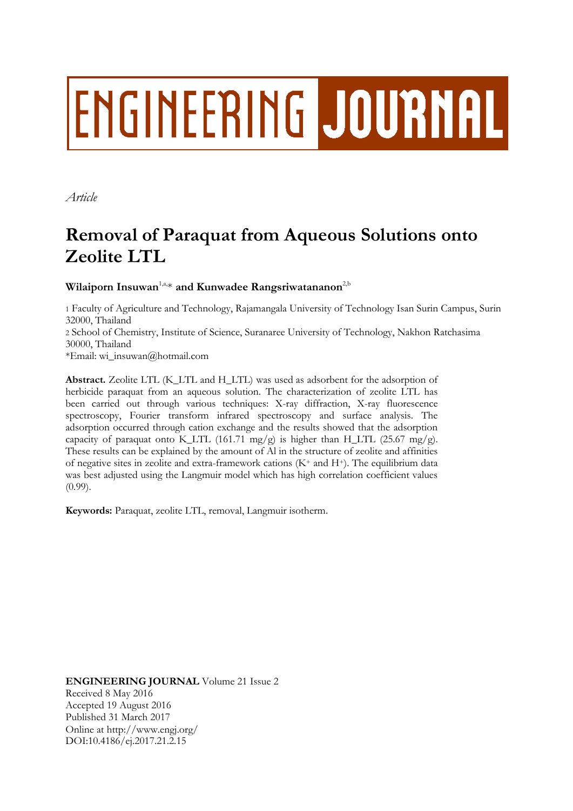# **ENGINEERING JOURNAL**

*Article*

## **Removal of Paraquat from Aqueous Solutions onto Zeolite LTL**

### **Wilaiporn Insuwan**1,a, \* **and Kunwadee Rangsriwatananon**2,b

1 Faculty of Agriculture and Technology, Rajamangala University of Technology Isan Surin Campus, Surin 32000, Thailand

2 School of Chemistry, Institute of Science, Suranaree University of Technology, Nakhon Ratchasima 30000, Thailand

\*Email: wi\_insuwan@hotmail.com

**Abstract.** Zeolite LTL (K\_LTL and H\_LTL) was used as adsorbent for the adsorption of herbicide paraquat from an aqueous solution. The characterization of zeolite LTL has been carried out through various techniques: X-ray diffraction, X-ray fluorescence spectroscopy, Fourier transform infrared spectroscopy and surface analysis. The adsorption occurred through cation exchange and the results showed that the adsorption capacity of paraquat onto K\_LTL (161.71 mg/g) is higher than H\_LTL (25.67 mg/g). These results can be explained by the amount of Al in the structure of zeolite and affinities of negative sites in zeolite and extra-framework cations  $(K^+$  and  $H^+$ ). The equilibrium data was best adjusted using the Langmuir model which has high correlation coefficient values  $(0.99)$ .

**Keywords:** Paraquat, zeolite LTL, removal, Langmuir isotherm.

**ENGINEERING JOURNAL** Volume 21 Issue 2 Received 8 May 2016 Accepted 19 August 2016 Published 31 March 2017 Online at http://www.engj.org/ DOI:10.4186/ej.2017.21.2.15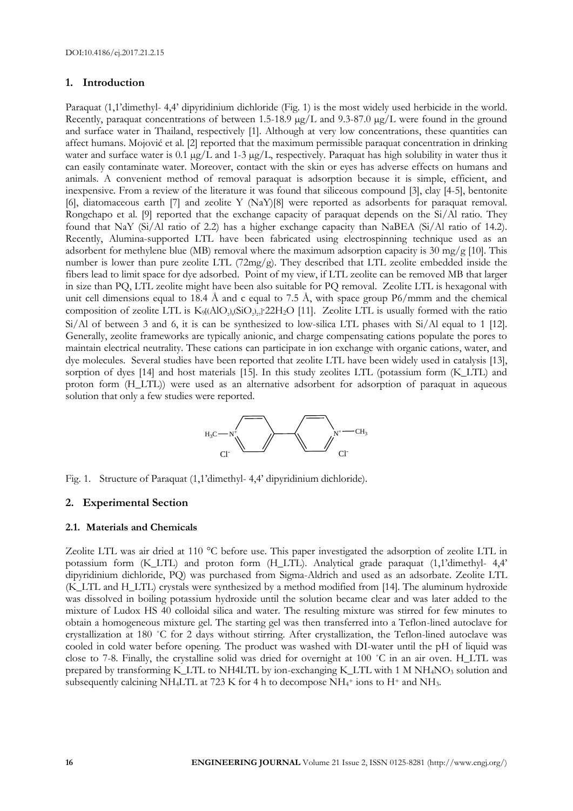#### **1. Introduction**

Paraquat (1,1'dimethyl- 4,4' dipyridinium dichloride (Fig. 1) is the most widely used herbicide in the world. Recently, paraquat concentrations of between 1.5-18.9 µg/L and 9.3-87.0 µg/L were found in the ground and surface water in Thailand, respectively [1]. Although at very low concentrations, these quantities can affect humans. Mojović et al. [2] reported that the maximum permissible paraquat concentration in drinking water and surface water is 0.1  $\mu$ g/L and 1-3  $\mu$ g/L, respectively. Paraquat has high solubility in water thus it can easily contaminate water. Moreover, contact with the skin or eyes has adverse effects on humans and animals. A convenient method of removal paraquat is adsorption because it is simple, efficient, and inexpensive. From a review of the literature it was found that siliceous compound [3], clay [4-5], bentonite [6], diatomaceous earth [7] and zeolite Y (NaY)[8] were reported as adsorbents for paraquat removal. Rongchapo et al. [9] reported that the exchange capacity of paraquat depends on the Si/Al ratio. They found that NaY (Si/Al ratio of 2.2) has a higher exchange capacity than NaBEA (Si/Al ratio of 14.2). Recently, Alumina-supported LTL have been fabricated using electrospinning technique used as an adsorbent for methylene blue (MB) removal where the maximum adsorption capacity is 30 mg/g [10]. This number is lower than pure zeolite LTL (72mg/g). They described that LTL zeolite embedded inside the fibers lead to limit space for dye adsorbed. Point of my view, if LTL zeolite can be removed MB that larger in size than PQ, LTL zeolite might have been also suitable for PQ removal. Zeolite LTL is hexagonal with unit cell dimensions equal to 18.4 Å and c equal to 7.5 Å, with space group  $P6/mmm$  and the chemical composition of zeolite LTL is  $K_9$ [(AlO<sub>2</sub>)<sub>9</sub>(SiO<sub>2</sub>)<sub>27</sub>] 22H<sub>2</sub>O [11]. Zeolite LTL is usually formed with the ratio Si/Al of between 3 and 6, it is can be synthesized to low-silica LTL phases with Si/Al equal to 1 [12]. Generally, zeolite frameworks are typically anionic, and charge compensating cations populate the pores to maintain electrical neutrality. These cations can participate in ion exchange with organic cations, water, and dye molecules. Several studies have been reported that zeolite LTL have been widely used in catalysis [13], sorption of dyes [14] and host materials [15]. In this study zeolites LTL (potassium form (K\_LTL) and proton form (H\_LTL)) were used as an alternative adsorbent for adsorption of paraquat in aqueous solution that only a few studies were reported.



Fig. 1. Structure of Paraquat (1,1'dimethyl- 4,4' dipyridinium dichloride).

#### **2. Experimental Section**

#### **2.1. Materials and Chemicals**

Zeolite LTL was air dried at 110 °C before use. This paper investigated the adsorption of zeolite LTL in potassium form (K\_LTL) and proton form (H\_LTL). Analytical grade paraquat (1,1'dimethyl- 4,4' dipyridinium dichloride, PQ) was purchased from Sigma-Aldrich and used as an adsorbate. Zeolite LTL (K\_LTL and H\_LTL) crystals were synthesized by a method modified from [14]. The aluminum hydroxide was dissolved in boiling potassium hydroxide until the solution became clear and was later added to the mixture of Ludox HS 40 colloidal silica and water. The resulting mixture was stirred for few minutes to obtain a homogeneous mixture gel. The starting gel was then transferred into a Teflon-lined autoclave for crystallization at 180 ˚C for 2 days without stirring. After crystallization, the Teflon-lined autoclave was cooled in cold water before opening. The product was washed with DI-water until the pH of liquid was close to 7-8. Finally, the crystalline solid was dried for overnight at 100 ˚C in an air oven. H\_LTL was prepared by transforming K\_LTL to NH4LTL by ion-exchanging K\_LTL with 1 M NH<sub>4</sub>NO<sub>3</sub> solution and subsequently calcining NH4LTL at 723 K for 4 h to decompose NH<sub>4</sub>+ ions to H+ and NH<sub>3</sub>.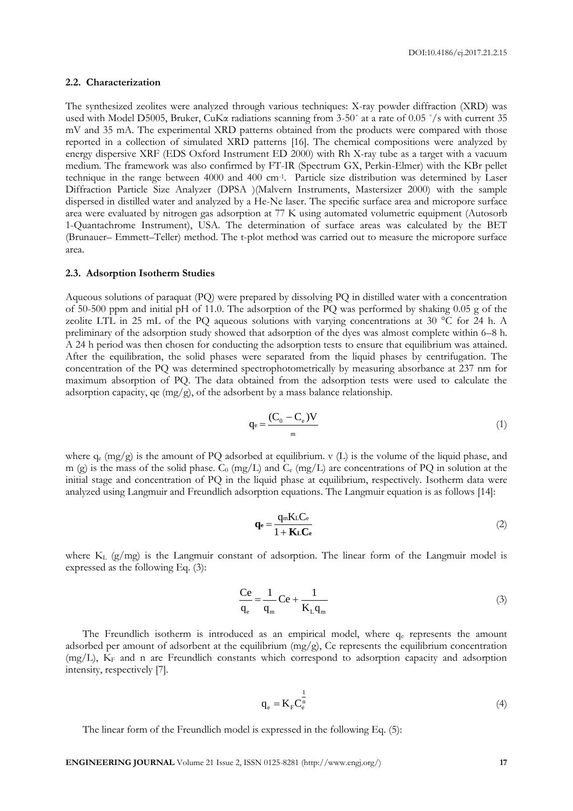#### **2.2. Characterization**

The synthesized zeolites were analyzed through various techniques: X-ray powder diffraction (XRD) was used with Model D5005, Bruker, CuKα radiations scanning from 3-50˚ at a rate of 0.05 ˚/s with current 35 mV and 35 mA. The experimental XRD patterns obtained from the products were compared with those reported in a collection of simulated XRD patterns [16]. The chemical compositions were analyzed by energy dispersive XRF (EDS Oxford Instrument ED 2000) with Rh X-ray tube as a target with a vacuum medium. The framework was also confirmed by FT-IR (Spectrum GX, Perkin-Elmer) with the KBr pellet technique in the range between 4000 and 400 cm-1 . Particle size distribution was determined by Laser Diffraction Particle Size Analyzer (DPSA )(Malvern Instruments, Mastersizer 2000) with the sample dispersed in distilled water and analyzed by a He-Ne laser. The specific surface area and micropore surface area were evaluated by nitrogen gas adsorption at 77 K using automated volumetric equipment (Autosorb 1-Quantachrome Instrument), USA. The determination of surface areas was calculated by the BET (Brunauer– Emmett–Teller) method. The t-plot method was carried out to measure the micropore surface area.

#### **2.3. Adsorption Isotherm Studies**

Aqueous solutions of paraquat (PQ) were prepared by dissolving PQ in distilled water with a concentration of 50-500 ppm and initial pH of 11.0. The adsorption of the PQ was performed by shaking 0.05 g of the zeolite LTL in 25 mL of the PQ aqueous solutions with varying concentrations at 30 °C for 24 h. A preliminary of the adsorption study showed that adsorption of the dyes was almost complete within 6–8 h. A 24 h period was then chosen for conducting the adsorption tests to ensure that equilibrium was attained. After the equilibration, the solid phases were separated from the liquid phases by centrifugation. The concentration of the PQ was determined spectrophotometrically by measuring absorbance at 237 nm for maximum absorption of PQ. The data obtained from the adsorption tests were used to calculate the adsorption capacity, qe  $(mg/g)$ , of the adsorbent by a mass balance relationship.

$$
q_e = \frac{(C_0 - C_e)V}{m} \tag{1}
$$

where  $q_e$  (mg/g) is the amount of PQ adsorbed at equilibrium. v (L) is the volume of the liquid phase, and m (g) is the mass of the solid phase.  $C_0$  (mg/L) and  $C_e$  (mg/L) are concentrations of PQ in solution at the initial stage and concentration of PQ in the liquid phase at equilibrium, respectively. Isotherm data were analyzed using Langmuir and Freundlich adsorption equations. The Langmuir equation is as follows [14]:

$$
\mathbf{q}_{\mathbf{e}} = \frac{\mathbf{q}_{\mathbf{m}} \mathbf{K}_{\mathbf{L}} \mathbf{C}_{\mathbf{e}}}{1 + \mathbf{K}_{\mathbf{L}} \mathbf{C}_{\mathbf{e}}}
$$
(2)

where  $K_L$  (g/mg) is the Langmuir constant of adsorption. The linear form of the Langmuir model is expressed as the following Eq. (3):

$$
\frac{\text{Ce}}{\text{q}_{\text{e}}} = \frac{1}{\text{q}_{\text{m}}} \text{Ce} + \frac{1}{\text{K}_{\text{L}} \text{q}_{\text{m}}} \tag{3}
$$

The Freundlich isotherm is introduced as an empirical model, where  $q_e$  represents the amount adsorbed per amount of adsorbent at the equilibrium  $(mg/g)$ , Ce represents the equilibrium concentration (mg/L), K<sup>F</sup> and n are Freundlich constants which correspond to adsorption capacity and adsorption intensity, respectively [7].

$$
q_e = K_F C_e^{\frac{1}{n}}
$$
 (4)

The linear form of the Freundlich model is expressed in the following Eq. (5):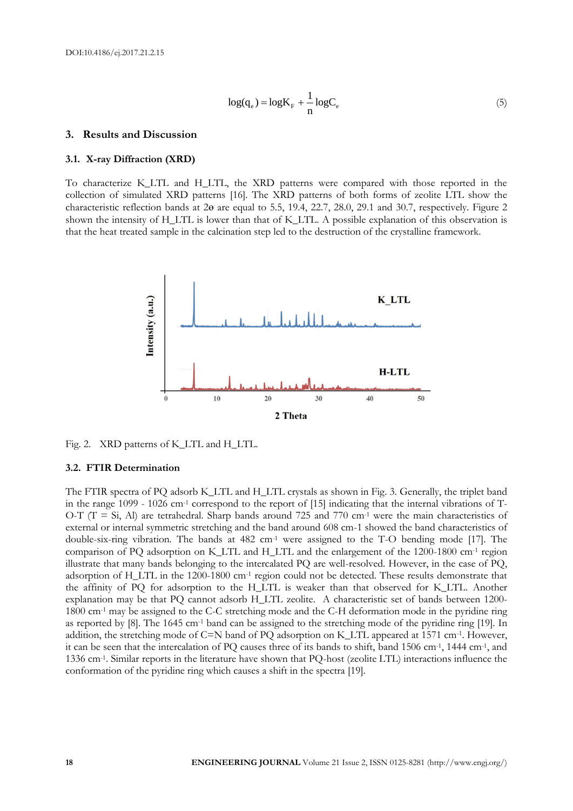$$
\log(\mathbf{q}_{e}) = \log \mathbf{K}_{F} + \frac{1}{n} \log \mathbf{C}_{e}
$$
\n(5)

#### **3. Results and Discussion**

#### **3.1. X-ray Diffraction (XRD)**

To characterize K\_LTL and H\_LTL, the XRD patterns were compared with those reported in the collection of simulated XRD patterns [16]. The XRD patterns of both forms of zeolite LTL show the characteristic reflection bands at 2ɵ are equal to 5.5, 19.4, 22.7, 28.0, 29.1 and 30.7, respectively. Figure 2 shown the intensity of H\_LTL is lower than that of K\_LTL. A possible explanation of this observation is that the heat treated sample in the calcination step led to the destruction of the crystalline framework.



Fig. 2. XRD patterns of K\_LTL and H\_LTL.

#### **3.2. FTIR Determination**

The FTIR spectra of PQ adsorb K\_LTL and H\_LTL crystals as shown in Fig. 3. Generally, the triplet band in the range 1099 - 1026 cm<sup>-1</sup> correspond to the report of [15] indicating that the internal vibrations of T-O-T ( $T = Si$ , Al) are tetrahedral. Sharp bands around 725 and 770 cm<sup>-1</sup> were the main characteristics of external or internal symmetric stretching and the band around 608 cm-1 showed the band characteristics of double-six-ring vibration. The bands at 482 cm-1 were assigned to the T-O bending mode [17]. The comparison of PQ adsorption on K\_LTL and H\_LTL and the enlargement of the 1200-1800 cm-1 region illustrate that many bands belonging to the intercalated PQ are well-resolved. However, in the case of PQ, adsorption of H\_LTL in the 1200-1800 cm-1 region could not be detected. These results demonstrate that the affinity of PQ for adsorption to the H\_LTL is weaker than that observed for K\_LTL. Another explanation may be that PQ cannot adsorb H\_LTL zeolite. A characteristic set of bands between 1200- 1800 cm-1 may be assigned to the C-C stretching mode and the C-H deformation mode in the pyridine ring as reported by [8]. The 1645 cm-1 band can be assigned to the stretching mode of the pyridine ring [19]. In addition, the stretching mode of C=N band of PQ adsorption on K\_LTL appeared at 1571 cm-1 . However, it can be seen that the intercalation of PQ causes three of its bands to shift, band 1506 cm-1 , 1444 cm-1 , and 1336 cm-1 . Similar reports in the literature have shown that PQ-host (zeolite LTL) interactions influence the conformation of the pyridine ring which causes a shift in the spectra [19].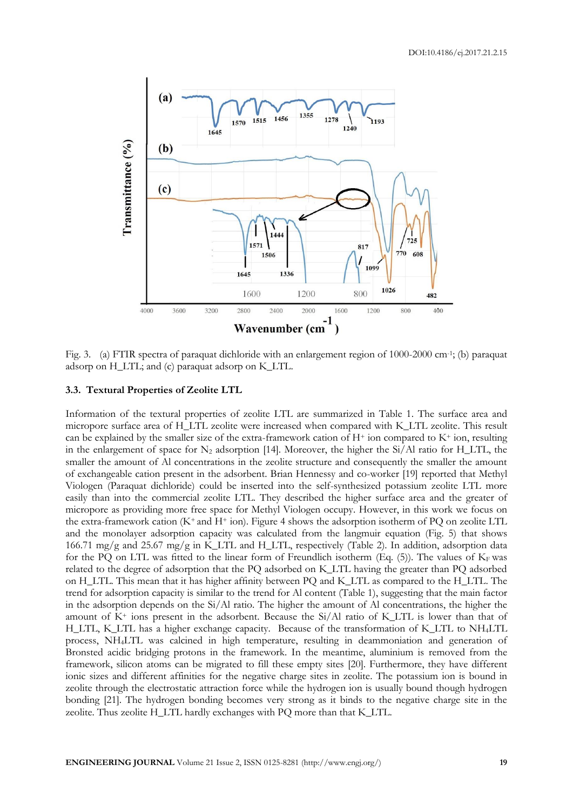

Fig. 3. (a) FTIR spectra of paraquat dichloride with an enlargement region of 1000-2000 cm<sup>-1</sup>; (b) paraquat adsorp on H\_LTL; and (c) paraquat adsorp on K\_LTL.

#### **3.3. Textural Properties of Zeolite LTL**

Information of the textural properties of zeolite LTL are summarized in Table 1. The surface area and micropore surface area of H\_LTL zeolite were increased when compared with K\_LTL zeolite. This result can be explained by the smaller size of the extra-framework cation of  $H^+$  ion compared to  $K^+$  ion, resulting in the enlargement of space for  $N_2$  adsorption [14]. Moreover, the higher the Si/Al ratio for H\_LTL, the smaller the amount of Al concentrations in the zeolite structure and consequently the smaller the amount of exchangeable cation present in the adsorbent. Brian Hennessy and co-worker [19] reported that Methyl Viologen (Paraquat dichloride) could be inserted into the self-synthesized potassium zeolite LTL more easily than into the commercial zeolite LTL. They described the higher surface area and the greater of micropore as providing more free space for Methyl Viologen occupy. However, in this work we focus on the extra-framework cation  $(K^+$  and  $H^+$  ion). Figure 4 shows the adsorption isotherm of PQ on zeolite LTL and the monolayer adsorption capacity was calculated from the langmuir equation (Fig. 5) that shows 166.71 mg/g and 25.67 mg/g in K\_LTL and H\_LTL, respectively (Table 2). In addition, adsorption data for the PQ on LTL was fitted to the linear form of Freundlich isotherm (Eq. (5)). The values of  $K_F$  was related to the degree of adsorption that the PQ adsorbed on K\_LTL having the greater than PQ adsorbed on H\_LTL. This mean that it has higher affinity between PQ and K\_LTL as compared to the H\_LTL. The trend for adsorption capacity is similar to the trend for Al content (Table 1), suggesting that the main factor in the adsorption depends on the Si/Al ratio. The higher the amount of Al concentrations, the higher the amount of  $K^+$  ions present in the adsorbent. Because the  $Si/Al$  ratio of K LTL is lower than that of H\_LTL, K\_LTL has a higher exchange capacity. Because of the transformation of K\_LTL to NH4LTL process, NH4LTL was calcined in high temperature, resulting in deammoniation and generation of Bronsted acidic bridging protons in the framework. In the meantime, aluminium is removed from the framework, silicon atoms can be migrated to fill these empty sites [20]. Furthermore, they have different ionic sizes and different affinities for the negative charge sites in zeolite. The potassium ion is bound in zeolite through the electrostatic attraction force while the hydrogen ion is usually bound though hydrogen bonding [21]. The hydrogen bonding becomes very strong as it binds to the negative charge site in the zeolite. Thus zeolite H\_LTL hardly exchanges with PQ more than that K\_LTL.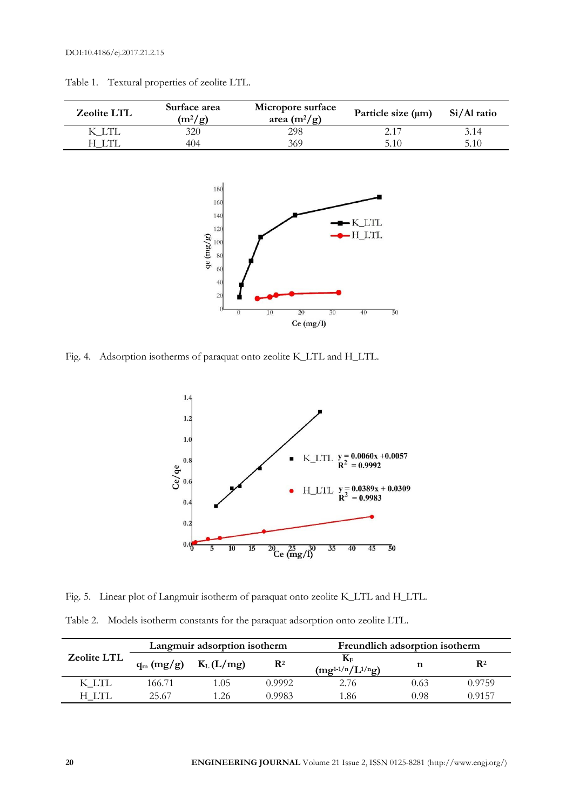| Zeolite LTL | Surface area<br>$(m^2/g)$                                                                    | Micropore surface<br>area $(m^2/g)$ | Particle size (µm)   | Si/Al ratio |
|-------------|----------------------------------------------------------------------------------------------|-------------------------------------|----------------------|-------------|
| K_LTL       | 320                                                                                          | 298                                 | 2.17                 | 3.14        |
| $H_LTT$     | 404                                                                                          | 369                                 | 5.10                 | 5.10        |
|             | 180<br>160<br>140<br>120<br>$\frac{\text{GeV}}{\text{g}} = \frac{100}{80}$<br>60<br>40<br>20 |                                     | $-K_LTL$<br>$-H_LTL$ |             |

 $Ce (mg/l)$ 

 $\overline{5}0$ 

Table 1. Textural properties of zeolite LTL.

Fig. 4. Adsorption isotherms of paraquat onto zeolite K\_LTL and H\_LTL.



Fig. 5. Linear plot of Langmuir isotherm of paraquat onto zeolite K\_LTL and H\_LTL.

| Table 2. Models isotherm constants for the paraquat adsorption onto zeolite LTL. |  |  |  |  |  |  |  |  |  |  |
|----------------------------------------------------------------------------------|--|--|--|--|--|--|--|--|--|--|
|----------------------------------------------------------------------------------|--|--|--|--|--|--|--|--|--|--|

|                    | Langmuir adsorption isotherm |               |                | Freundlich adsorption isotherm                     |      |                |
|--------------------|------------------------------|---------------|----------------|----------------------------------------------------|------|----------------|
| <b>Zeolite LTL</b> | $q_m (mg/g)$                 | $K_{L}(L/mg)$ | $\mathbf{R}^2$ | $\mathbf{K}_{\text{F}}$<br>$(mg^{1-1/n}/L^{1/n}g)$ |      | $\mathbf{R}^2$ |
| K LTL              | 166.71                       | 1.05          | 0.9992         | 2.76                                               | 0.63 | 0.9759         |
| H LTL              | 25.67                        | 1.26          | 0.9983         | '.86                                               | 0.98 | 0.9157         |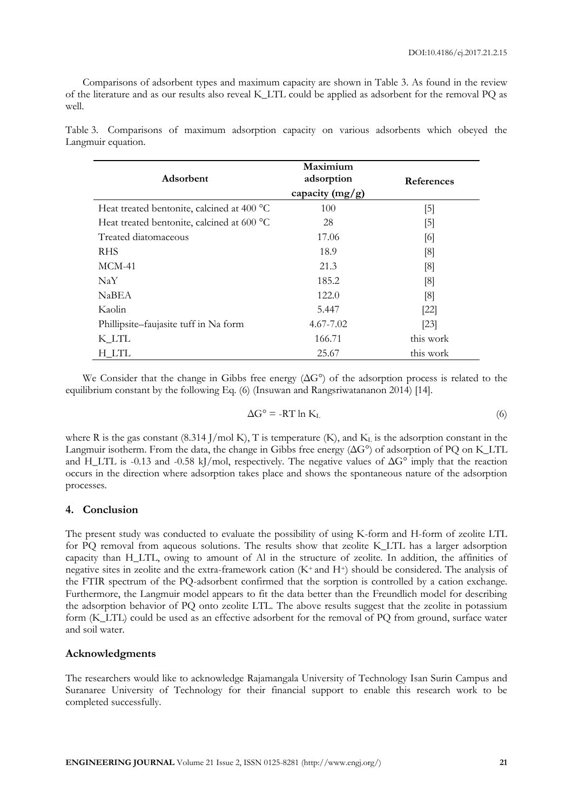Comparisons of adsorbent types and maximum capacity are shown in Table 3. As found in the review of the literature and as our results also reveal K\_LTL could be applied as adsorbent for the removal PQ as well.

| Adsorbent                                  | Maximium<br>adsorption<br>capacity (mg/g) | <b>References</b> |
|--------------------------------------------|-------------------------------------------|-------------------|
| Heat treated bentonite, calcined at 400 °C | 100                                       | $[5]$             |
| Heat treated bentonite, calcined at 600 °C | 28                                        | $\lceil 5 \rceil$ |
| Treated diatomaceous                       | 17.06                                     | [6]               |
| <b>RHS</b>                                 | 18.9                                      | [8]               |
| $MCM-41$                                   | 21.3                                      | [8]               |
| NaY                                        | 185.2                                     | [8]               |
| NaBEA                                      | 122.0                                     | [8]               |
| Kaolin                                     | 5.447                                     | $[22]$            |
| Phillipsite–faujasite tuff in Na form      | $4.67 - 7.02$                             | [23]              |
| K LTL                                      | 166.71                                    | this work         |
| <b>H_LTL</b>                               | 25.67                                     | this work         |

Table 3. Comparisons of maximum adsorption capacity on various adsorbents which obeyed the Langmuir equation.

We Consider that the change in Gibbs free energy (ΔG°) of the adsorption process is related to the equilibrium constant by the following Eq. (6) (Insuwan and Rangsriwatananon 2014) [14].

$$
\Delta G^{\circ} = -RT \ln K_{L} \tag{6}
$$

where R is the gas constant  $(8.314$  J/mol K), T is temperature (K), and K<sub>L</sub> is the adsorption constant in the Langmuir isotherm. From the data, the change in Gibbs free energy (ΔG°) of adsorption of PQ on K\_LTL and H\_LTL is -0.13 and -0.58 kJ/mol, respectively. The negative values of  $\Delta G^{\circ}$  imply that the reaction occurs in the direction where adsorption takes place and shows the spontaneous nature of the adsorption processes.

#### **4. Conclusion**

The present study was conducted to evaluate the possibility of using K-form and H-form of zeolite LTL for PQ removal from aqueous solutions. The results show that zeolite K\_LTL has a larger adsorption capacity than H\_LTL, owing to amount of Al in the structure of zeolite. In addition, the affinities of negative sites in zeolite and the extra-framework cation  $(K^+)$  and  $H^+$ ) should be considered. The analysis of the FTIR spectrum of the PQ-adsorbent confirmed that the sorption is controlled by a cation exchange. Furthermore, the Langmuir model appears to fit the data better than the Freundlich model for describing the adsorption behavior of PQ onto zeolite LTL. The above results suggest that the zeolite in potassium form (K\_LTL) could be used as an effective adsorbent for the removal of PQ from ground, surface water and soil water.

#### **Acknowledgments**

The researchers would like to acknowledge Rajamangala University of Technology Isan Surin Campus and Suranaree University of Technology for their financial support to enable this research work to be completed successfully.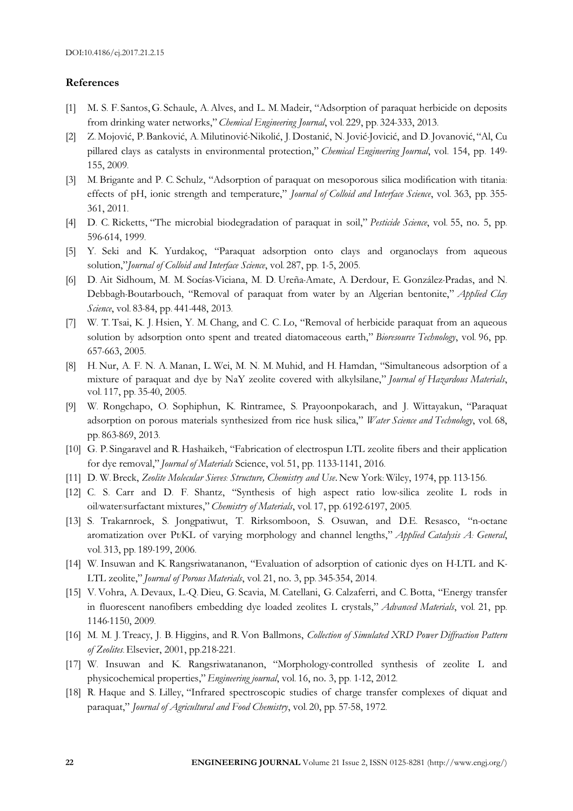#### **References**

- [1] M. S. F. Santos,G. Schaule, A. Alves, and L. M. Madeir, "Adsorption of paraquat herbicide on deposits from drinking water networks," *Chemical Engineering Journal*, vol. 229, pp. 324-333, 2013.
- [2] Z. Mojović, P. Banković, A. Milutinović-Nikolić, J. Dostanić, N. Jović-Jovicić, and D. Jovanović, "Al, Cu pillared clays as catalysts in environmental protection," *Chemical Engineering Journal*, vol. 154, pp. 149- 155, 2009.
- [3] M. Brigante and P. C. Schulz, "Adsorption of paraquat on mesoporous silica modification with titania: effects of pH, ionic strength and temperature," *Journal of Colloid and Interface Science*, vol. 363, pp. 355- 361, 2011.
- [4] D. C. Ricketts, "The microbial biodegradation of paraquat in soil," *Pesticide Science*, vol. 55, no. 5, pp. 596-614, 1999.
- [5] Y. Seki and K. Yurdakoç, "Paraquat adsorption onto clays and organoclays from aqueous solution,"*Journal of Colloid and Interface Science*, vol. 287, pp. 1-5, 2005.
- [6] D. Ait Sidhoum, M. M. Socías-Viciana, M. D. Ureña-Amate, A. Derdour, E. González-Pradas, and N. Debbagh-Boutarbouch, "Removal of paraquat from water by an Algerian bentonite," *Applied Clay Science*, vol. 83-84, pp. 441-448, 2013.
- [7] W. T. Tsai, K. J. Hsien, Y. M. Chang, and C. C. Lo, "Removal of herbicide paraquat from an aqueous solution by adsorption onto spent and treated diatomaceous earth," *Bioresource Technology*, vol. 96, pp. 657-663, 2005.
- [8] H. Nur, A. F. N. A. Manan, L. Wei, M. N. M. Muhid, and H. Hamdan, "Simultaneous adsorption of a mixture of paraquat and dye by NaY zeolite covered with alkylsilane," *Journal of Hazardous Materials*, vol. 117, pp. 35-40, 2005.
- [9] W. Rongchapo, O. Sophiphun, K. Rintramee, S. Prayoonpokarach, and J. Wittayakun, "Paraquat adsorption on porous materials synthesized from rice husk silica," *Water Science and Technology*, vol. 68, pp. 863-869, 2013.
- [10] G. P. Singaravel and R. Hashaikeh, "Fabrication of electrospun LTL zeolite fibers and their application for dye removal," *Journal of Materials* Science, vol. 51, pp. 1133-1141, 2016.
- [11] D. W. Breck, *Zeolite Molecular Sieves: Structure, Chemistry and Use*.New York: Wiley, 1974, pp. 113-156.
- [12] C. S. Carr and D. F. Shantz, "Synthesis of high aspect ratio low-silica zeolite L rods in oil/water/surfactant mixtures," *Chemistry of Materials*, vol. 17, pp. 6192-6197, 2005.
- [13] S. Trakarnroek, S. Jongpatiwut, T. Rirksomboon, S. Osuwan, and D.E. Resasco, "n-octane aromatization over Pt/KL of varying morphology and channel lengths," *Applied Catalysis A: General*, vol. 313, pp. 189-199, 2006.
- [14] W. Insuwan and K. Rangsriwatananon, "Evaluation of adsorption of cationic dyes on H-LTL and K-LTL zeolite," *Journal of Porous Materials*, vol. 21, no. 3, pp. 345-354, 2014.
- [15] V. Vohra, A. Devaux, L.-Q. Dieu, G. Scavia, M. Catellani, G. Calzaferri, and C. Botta, "Energy transfer in fluorescent nanofibers embedding dye loaded zeolites L crystals," *Advanced Materials*, vol. 21, pp. 1146-1150, 2009.
- [16] M. M. J. Treacy, J. B. Higgins, and R. Von Ballmons, *Collection of Simulated XRD Power Diffraction Pattern of Zeolites*. Elsevier, 2001, pp.218-221.
- [17] W. Insuwan and K. Rangsriwatananon, "Morphology-controlled synthesis of zeolite L and physicochemical properties,"*Engineering journal*, vol. 16, no. 3, pp. 1-12, 2012.
- [18] R. Haque and S. Lilley, "Infrared spectroscopic studies of charge transfer complexes of diquat and paraquat," *Journal of Agricultural and Food Chemistry*, vol. 20, pp. 57-58, 1972.